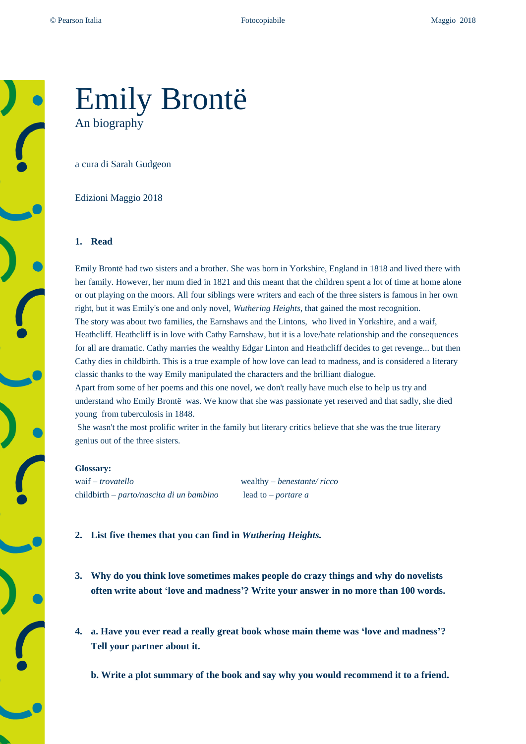# Emily Brontë An biography

a cura di Sarah Gudgeon

Edizioni Maggio 2018

### **1. Read**

Emily Brontë had two sisters and a brother. She was born in Yorkshire, England in 1818 and lived there with her family. However, her mum died in 1821 and this meant that the children spent a lot of time at home alone or out playing on the moors. All four siblings were writers and each of the three sisters is famous in her own right, but it was Emily's one and only novel, *Wuthering Heights*, that gained the most recognition. The story was about two families, the Earnshaws and the Lintons, who lived in Yorkshire, and a waif, Heathcliff. Heathcliff is in love with Cathy Earnshaw, but it is a love/hate relationship and the consequences for all are dramatic. Cathy marries the wealthy Edgar Linton and Heathcliff decides to get revenge... but then Cathy dies in childbirth. This is a true example of how love can lead to madness, and is considered a literary classic thanks to the way Emily manipulated the characters and the brilliant dialogue.

Apart from some of her poems and this one novel, we don't really have much else to help us try and understand who Emily Brontë was. We know that she was passionate yet reserved and that sadly, she died young from tuberculosis in 1848.

She wasn't the most prolific writer in the family but literary critics believe that she was the true literary genius out of the three sisters.

#### **Glossary:**

waif – *trovatello* wealthy – *benestante/ ricco* childbirth – *parto/nascita di un bambino* lead to *– portare a* 

- **2. List five themes that you can find in** *Wuthering Heights.*
- **3. Why do you think love sometimes makes people do crazy things and why do novelists often write about 'love and madness'? Write your answer in no more than 100 words.**
- **4. a. Have you ever read a really great book whose main theme was 'love and madness'? Tell your partner about it.**
	- **b. Write a plot summary of the book and say why you would recommend it to a friend.**